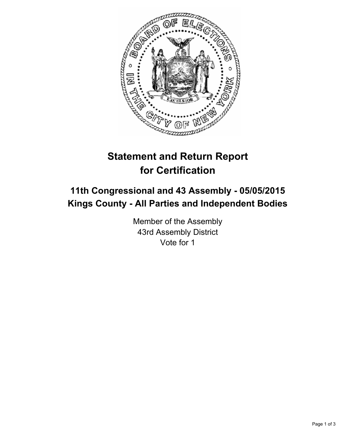

# **Statement and Return Report for Certification**

# **11th Congressional and 43 Assembly - 05/05/2015 Kings County - All Parties and Independent Bodies**

Member of the Assembly 43rd Assembly District Vote for 1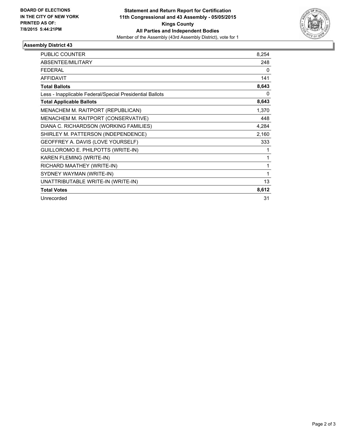

## **Assembly District 43**

| <b>PUBLIC COUNTER</b>                                    | 8,254 |
|----------------------------------------------------------|-------|
| ABSENTEE/MILITARY                                        | 248   |
| <b>FEDERAL</b>                                           | 0     |
| <b>AFFIDAVIT</b>                                         | 141   |
| <b>Total Ballots</b>                                     | 8,643 |
| Less - Inapplicable Federal/Special Presidential Ballots | 0     |
| <b>Total Applicable Ballots</b>                          | 8,643 |
| MENACHEM M. RAITPORT (REPUBLICAN)                        | 1,370 |
| MENACHEM M. RAITPORT (CONSERVATIVE)                      | 448   |
| DIANA C. RICHARDSON (WORKING FAMILIES)                   | 4,284 |
| SHIRLEY M. PATTERSON (INDEPENDENCE)                      | 2,160 |
| GEOFFREY A. DAVIS (LOVE YOURSELF)                        | 333   |
| GUILLOROMO E. PHILPOTTS (WRITE-IN)                       | 1     |
| KAREN FLEMING (WRITE-IN)                                 | 1     |
| RICHARD MAATHEY (WRITE-IN)                               | 1     |
| SYDNEY WAYMAN (WRITE-IN)                                 | 1     |
| UNATTRIBUTABLE WRITE-IN (WRITE-IN)                       | 13    |
| <b>Total Votes</b>                                       | 8,612 |
| Unrecorded                                               | 31    |